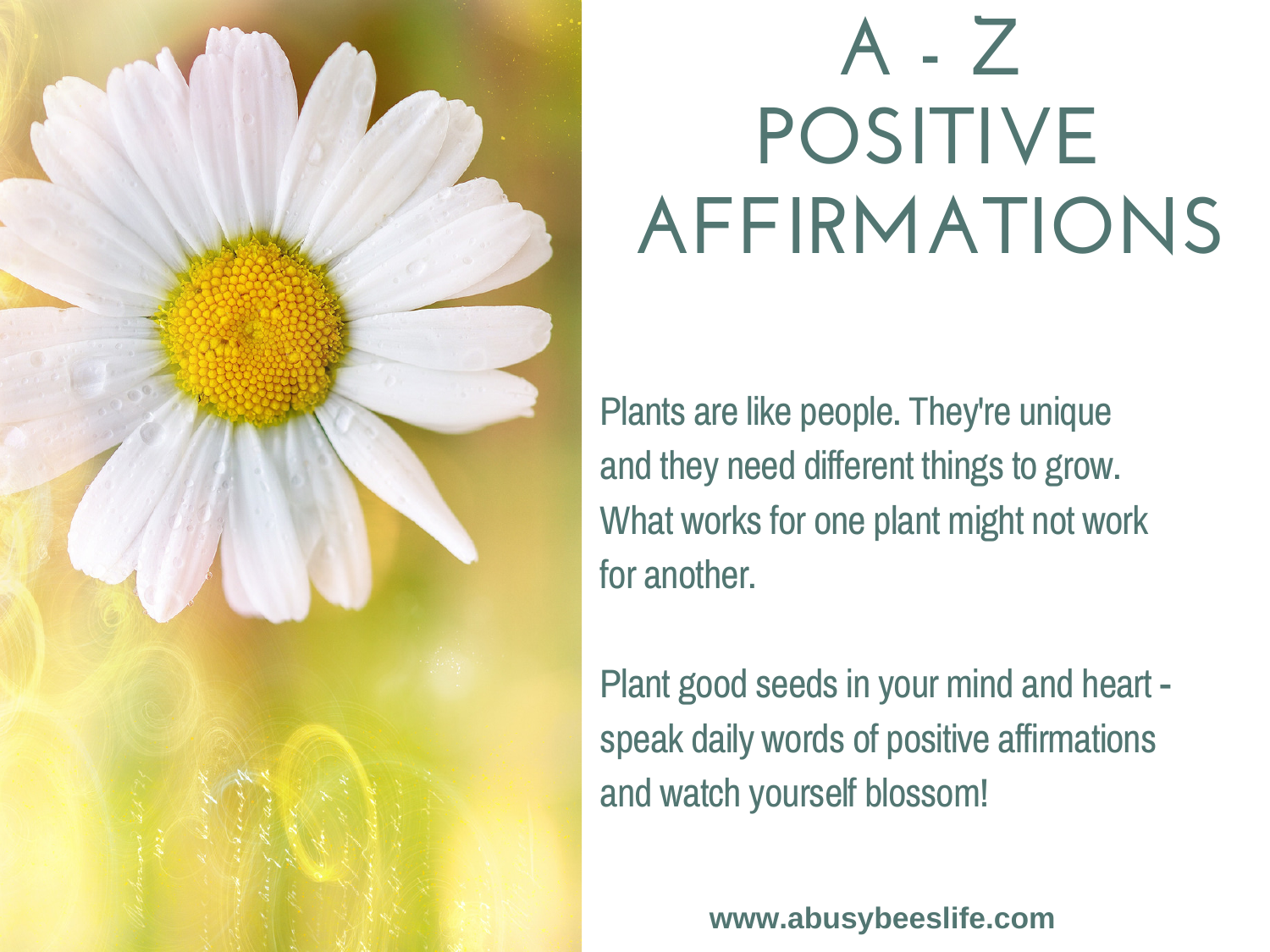

## **A - Z POSITIVE AFFIRMATIONS**

Plants are like people. They're unique and they need different things to grow. What works for one plant might not work for another.

Plant good seeds in your mind and heart speak daily words of positive affirmations and watch yourself blossom!

**www.abusybeeslife.com**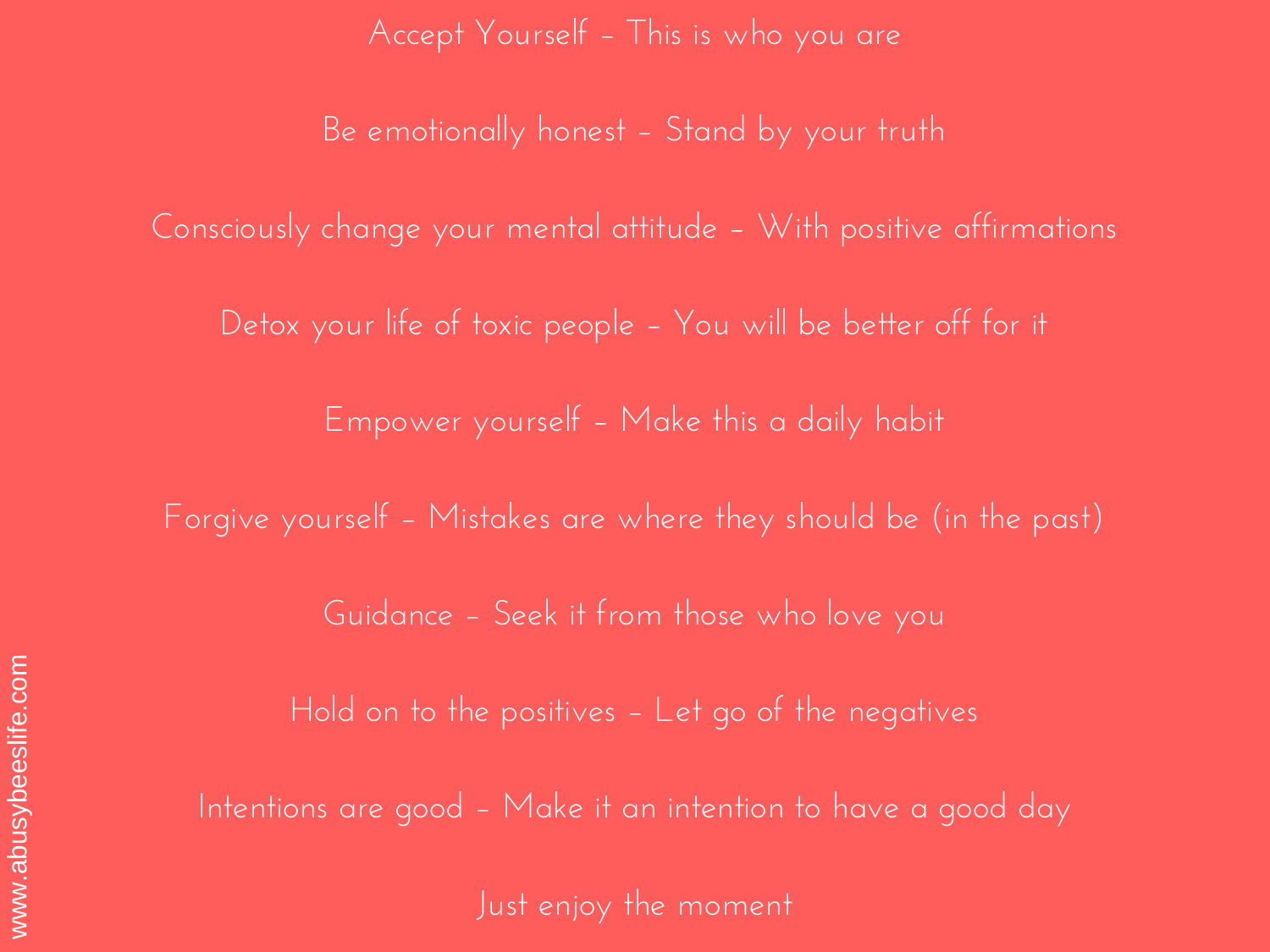Accept Yourself – This is who you are

Be emotionally honest – Stand by your truth

Consciously change your mental attitude – With positive affirmations

Detox your life of toxic people – You will be better off for it

Empower yourself – Make this a daily habit

Forgive yourself – Mistakes are where they should be (in the past)

Guidance – Seek it from those who love you

Hold on to the positives – Let go of the negatives

Intentions are good – Make it an intention to have a good day

Just enjoy the moment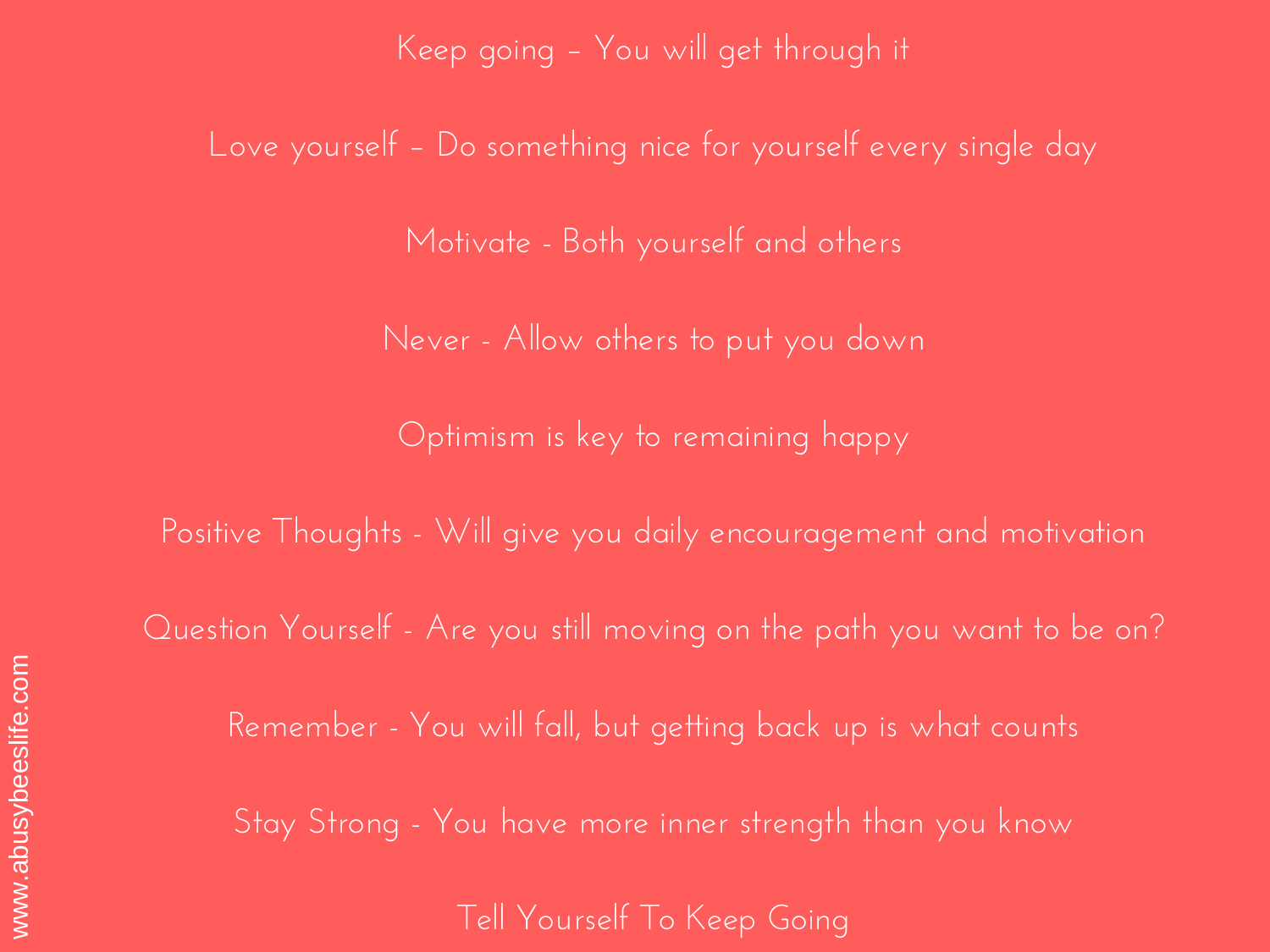Keep going – You will get through it

Love yourself – Do something nice for yourself every single day

Motivate - Both yourself and others

Never - Allow others to put you down

Optimism is key to remaining happy

Positive Thoughts - Will give you daily encouragement and motivation

Question Yourself - Are you still moving on the path you want to be on?

Remember - You will fall, but getting back up is what counts

Stay Strong - You have more inner strength than you know

Tell Yourself To Keep Going